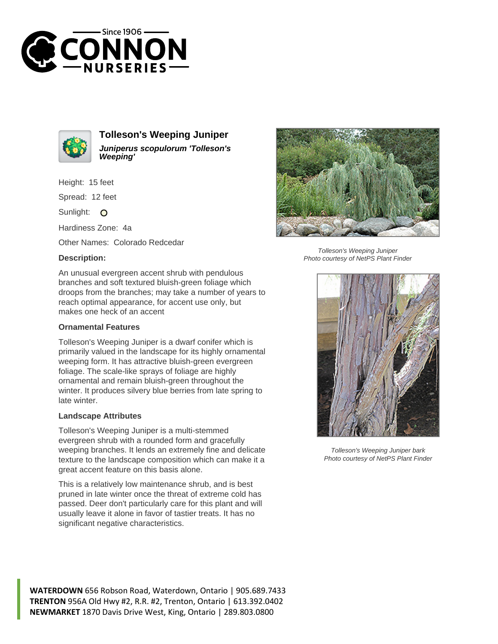



**Tolleson's Weeping Juniper Juniperus scopulorum 'Tolleson's Weeping'**

Height: 15 feet

Spread: 12 feet

Sunlight: O

Hardiness Zone: 4a

Other Names: Colorado Redcedar

## **Description:**



## **Ornamental Features**

Tolleson's Weeping Juniper is a dwarf conifer which is primarily valued in the landscape for its highly ornamental weeping form. It has attractive bluish-green evergreen foliage. The scale-like sprays of foliage are highly ornamental and remain bluish-green throughout the winter. It produces silvery blue berries from late spring to late winter.

## **Landscape Attributes**

Tolleson's Weeping Juniper is a multi-stemmed evergreen shrub with a rounded form and gracefully weeping branches. It lends an extremely fine and delicate texture to the landscape composition which can make it a great accent feature on this basis alone.

This is a relatively low maintenance shrub, and is best pruned in late winter once the threat of extreme cold has passed. Deer don't particularly care for this plant and will usually leave it alone in favor of tastier treats. It has no significant negative characteristics.



Tolleson's Weeping Juniper Photo courtesy of NetPS Plant Finder



Tolleson's Weeping Juniper bark Photo courtesy of NetPS Plant Finder

**WATERDOWN** 656 Robson Road, Waterdown, Ontario | 905.689.7433 **TRENTON** 956A Old Hwy #2, R.R. #2, Trenton, Ontario | 613.392.0402 **NEWMARKET** 1870 Davis Drive West, King, Ontario | 289.803.0800